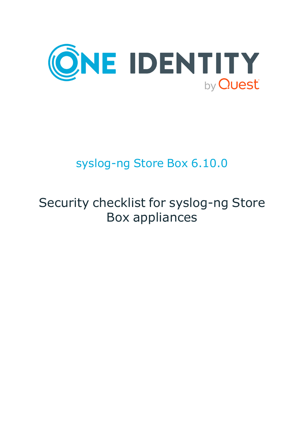

# syslog-ng Store Box 6.10.0

# Security checklist for syslog-ng Store Box appliances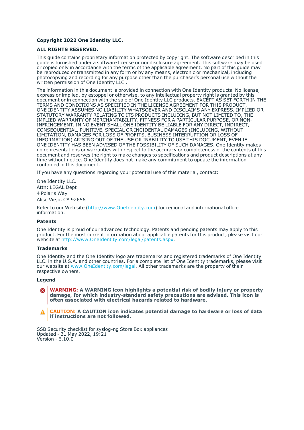### **Copyright 2022 One Identity LLC.**

### **ALL RIGHTS RESERVED.**

This guide contains proprietary information protected by copyright. The software described in this guide is furnished under a software license or nondisclosure agreement. This software may be used or copied only in accordance with the terms of the applicable agreement. No part of this guide may be reproduced or transmitted in any form or by any means, electronic or mechanical, including photocopying and recording for any purpose other than the purchaser's personal use without the written permission of One Identity LLC .

The information in this document is provided in connection with One Identity products. No license, express or implied, by estoppel or otherwise, to any intellectual property right is granted by this document or in connection with the sale of One Identity LLC products. EXCEPT AS SET FORTH IN THE TERMS AND CONDITIONS AS SPECIFIED IN THE LICENSE AGREEMENT FOR THIS PRODUCT, ONE IDENTITY ASSUMES NO LIABILITY WHATSOEVER AND DISCLAIMS ANY EXPRESS, IMPLIED OR STATUTORY WARRANTY RELATING TO ITS PRODUCTS INCLUDING, BUT NOT LIMITED TO, THE IMPLIED WARRANTY OF MERCHANTABILITY, FITNESS FOR A PARTICULAR PURPOSE, OR NON-INFRINGEMENT. IN NO EVENT SHALL ONE IDENTITY BE LIABLE FOR ANY DIRECT, INDIRECT, CONSEQUENTIAL, PUNITIVE, SPECIAL OR INCIDENTAL DAMAGES (INCLUDING, WITHOUT LIMITATION, DAMAGES FOR LOSS OF PROFITS, BUSINESS INTERRUPTION OR LOSS OF INFORMATION) ARISING OUT OF THE USE OR INABILITY TO USE THIS DOCUMENT, EVEN IF ONE IDENTITY HAS BEEN ADVISED OF THE POSSIBILITY OF SUCH DAMAGES. One Identity makes no representations or warranties with respect to the accuracy or completeness of the contents of this document and reserves the right to make changes to specifications and product descriptions at any time without notice. One Identity does not make any commitment to update the information contained in this document.

If you have any questions regarding your potential use of this material, contact:

One Identity LLC. Attn: LEGAL Dept 4 Polaris Way Aliso Viejo, CA 92656

Refer to our Web site [\(http://www.OneIdentity.com](http://www.oneidentity.com/)) for regional and international office information.

### **Patents**

One Identity is proud of our advanced technology. Patents and pending patents may apply to this product. For the most current information about applicable patents for this product, please visit our website at [http://www.OneIdentity.com/legal/patents.aspx.](http://www.oneidentity.com/legal/patents.aspx)

#### **Trademarks**

One Identity and the One Identity logo are trademarks and registered trademarks of One Identity LLC. in the U.S.A. and other countries. For a complete list of One Identity trademarks, please visit our website at [www.OneIdentity.com/legal](http://www.oneidentity.com/legal). All other trademarks are the property of their respective owners.

#### **Legend**

**WARNING: A WARNING icon highlights a potential risk of bodily injury or property** œ **damage, for which industry-standard safety precautions are advised. This icon is often associated with electrical hazards related to hardware.**

**CAUTION: A CAUTION icon indicates potential damage to hardware or loss of data if instructions are not followed.**

SSB Security checklist for syslog-ng Store Box appliances Updated - 31 May 2022, 19:21 Version - 6.10.0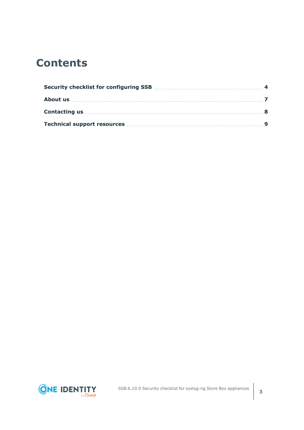## **Contents**

| Contacting us <b>Exercise 20</b> and 20 and 20 and 20 and 20 and 20 and 20 and 20 and 20 and 20 and 20 and 20 and 20 and 20 and 20 and 20 and 20 and 20 and 20 and 20 and 20 and 20 and 20 and 20 and 20 and 20 and 20 and 20 and 2 |  |
|-------------------------------------------------------------------------------------------------------------------------------------------------------------------------------------------------------------------------------------|--|
|                                                                                                                                                                                                                                     |  |

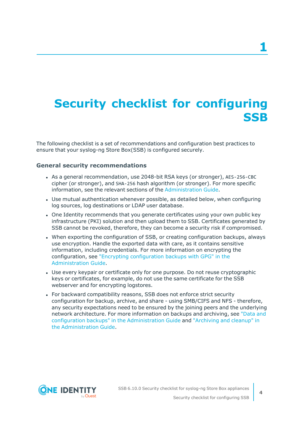## <span id="page-3-0"></span>**Security checklist for configuring SSB**

The following checklist is a set of recommendations and configuration best practices to ensure that your syslog-ng Store Box(SSB) is configured securely.

## **General security recommendations**

- As a general recommendation, use 2048-bit RSA keys (or stronger), AES-256-CBC cipher (or stronger), and SHA-256 hash algorithm (or stronger). For more specific information, see the relevant sections of the [Administration](https://support.oneidentity.com/technical-documents/syslog-ng-store-box/6.10.0/administration-guide/) Guide.
- Use mutual authentication whenever possible, as detailed below, when configuring log sources, log destinations or LDAP user database.
- One Identity recommends that you generate certificates using your own public key infrastructure (PKI) solution and then upload them to SSB. Certificates generated by SSB cannot be revoked, therefore, they can become a security risk if compromised.
- When exporting the configuration of SSB, or creating configuration backups, always use encryption. Handle the exported data with care, as it contains sensitive information, including credentials. For more information on encrypting the configuration, see "Encrypting [configuration](https://support.oneidentity.com/technical-documents/syslog-ng-store-box/6.10.0/administration-guide/basic-settings/data-and-configuration-backups/encrypting-configuration-backups-with-gpg/) backups with GPG" in the [Administration](https://support.oneidentity.com/technical-documents/syslog-ng-store-box/6.10.0/administration-guide/basic-settings/data-and-configuration-backups/encrypting-configuration-backups-with-gpg/) Guide.
- Use every keypair or certificate only for one purpose. Do not reuse cryptographic keys or certificates, for example, do not use the same certificate for the SSB webserver and for encrypting logstores.
- For backward compatibility reasons, SSB does not enforce strict security configuration for backup, archive, and share - using SMB/CIFS and NFS - therefore, any security expectations need to be ensured by the joining peers and the underlying network architecture. For more information on backups and archiving, see ["Data](https://support.oneidentity.com/technical-documents/syslog-ng-store-box/6.10.0/administration-guide/basic-settings/data-and-configuration-backups/) and configuration backups" in the [Administration](https://support.oneidentity.com/technical-documents/syslog-ng-store-box/6.10.0/administration-guide/basic-settings/data-and-configuration-backups/) Guide and ["Archiving](https://support.oneidentity.com/technical-documents/syslog-ng-store-box/6.10.0/administration-guide/basic-settings/archiving-and-cleanup/) and cleanup" in the [Administration](https://support.oneidentity.com/technical-documents/syslog-ng-store-box/6.10.0/administration-guide/basic-settings/archiving-and-cleanup/) Guide.



**4**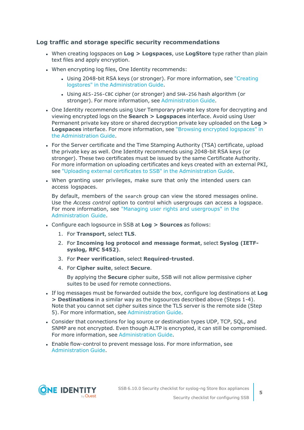## **Log traffic and storage specific security recommendations**

- <sup>l</sup> When creating logspaces on **Log > Logspaces**, use **LogStore** type rather than plain text files and apply encryption.
- When encrypting log files, One Identity recommends:
	- Using 2048-bit RSA keys (or stronger). For more information, see ["Creating](https://support.oneidentity.com/technical-documents/syslog-ng-store-box/6.10.0/administration-guide/storing-messages-on-ssb/using-logstores/creating-logstores/) logstores" in the [Administration](https://support.oneidentity.com/technical-documents/syslog-ng-store-box/6.10.0/administration-guide/storing-messages-on-ssb/using-logstores/creating-logstores/) Guide.
	- <sup>l</sup> Using AES-256-CBC cipher (or stronger) and SHA-256 hash algorithm (or stronger). For more information, see [Administration](https://support.oneidentity.com/technical-documents/syslog-ng-store-box/6.10.0/administration-guide//) Guide.
- One Identity recommends using User Temporary private key store for decrypting and viewing encrypted logs on the **Search > Logspaces** interface. Avoid using User Permanent private key store or shared decryption private key uploaded on the **Log > Logspaces** interface. For more information, see "Browsing encrypted [logspaces"](https://support.oneidentity.com/technical-documents/syslog-ng-store-box/6.10.0/administration-guide/searching-log-messages/browsing-encrypted-logspaces/) in the [Administration](https://support.oneidentity.com/technical-documents/syslog-ng-store-box/6.10.0/administration-guide/searching-log-messages/browsing-encrypted-logspaces/) Guide.
- For the Server certificate and the Time Stamping Authority (TSA) certificate, upload the private key as well. One Identity recommends using 2048-bit RSA keys (or stronger). These two certificates must be issued by the same Certificate Authority. For more information on uploading certificates and keys created with an external PKI, see "Uploading external certificates to SSB" in the [Administration](https://support.oneidentity.com/technical-documents/syslog-ng-store-box/6.10.0/administration-guide/managing-ssb/managing-the-certificates-used-on-ssb/uploading-external-certificates-to-ssb/) Guide.
- When granting user privileges, make sure that only the intended users can access logspaces.

By default, members of the search group can view the stored messages online. Use the *Access control* option to control which usergroups can access a logspace. For more information, see "Managing user rights and [usergroups"](https://support.oneidentity.com/technical-documents/syslog-ng-store-box/6.10.0/administration-guide/user-management-and-access-control/managing-user-rights-and-usergroups/) in the [Administration](https://support.oneidentity.com/technical-documents/syslog-ng-store-box/6.10.0/administration-guide/user-management-and-access-control/managing-user-rights-and-usergroups/) Guide.

- <sup>l</sup> Configure each logsource in SSB at **Log > Sources** as follows:
	- 1. For **Transport**, select **TLS**.
	- 2. For **Incoming log protocol and message format**, select **Syslog (IETFsyslog, RFC 5452)**.
	- 3. For **Peer verification**, select **Required-trusted**.
	- 4. For **Cipher suite**, select **Secure**.

By applying the **Secure** cipher suite, SSB will not allow permissive cipher suites to be used for remote connections.

- <sup>l</sup> If log messages must be forwarded outside the box, configure log destinations at **Log > Destinations** in a similar way as the logsources described above (Steps 1-4). Note that you cannot set cipher suites since the TLS server is the remote side (Step 5). For more information, see [Administration](https://support.oneidentity.com/technical-documents/syslog-ng-store-box/6.10.0/administration-guide//) Guide.
- Consider that connections for log source or destination types UDP, TCP, SOL, and SNMP are not encrypted. Even though ALTP is encrypted, it can still be compromised. For more information, see [Administration](https://support.oneidentity.com/technical-documents/syslog-ng-store-box/6.10.0/administration-guide//) Guide.
- <sup>l</sup> Enable flow-control to prevent message loss. For more information, see [Administration](https://support.oneidentity.com/technical-documents/syslog-ng-store-box/6.10.0/administration-guide//) Guide.

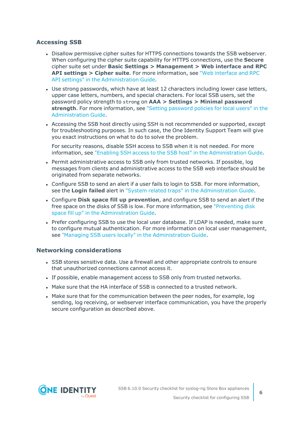## **Accessing SSB**

- <sup>l</sup> Disallow permissive cipher suites for HTTPS connections towards the SSB webserver. When configuring the cipher suite capability for HTTPS connections, use the **Secure** cipher suite set under **Basic Settings > Management > Web interface and RPC API settings > Cipher suite**. For more information, see "Web [interface](https://support.oneidentity.com/technical-documents/syslog-ng-store-box/6.10.0/administration-guide/basic-settings/the-structure-of-the-web-interface/web-interface-and-rpc-api-settings/) and RPC API settings" in the [Administration](https://support.oneidentity.com/technical-documents/syslog-ng-store-box/6.10.0/administration-guide/basic-settings/the-structure-of-the-web-interface/web-interface-and-rpc-api-settings/) Guide.
- Use strong passwords, which have at least 12 characters including lower case letters, upper case letters, numbers, and special characters. For local SSB users, set the password policy strength to strong on **AAA > Settings > Minimal password strength**. For more information, see "Setting [password](https://support.oneidentity.com/technical-documents/syslog-ng-store-box/6.10.0/administration-guide/user-management-and-access-control/setting-password-policies-for-local-users/) policies for local users" in the [Administration](https://support.oneidentity.com/technical-documents/syslog-ng-store-box/6.10.0/administration-guide/user-management-and-access-control/setting-password-policies-for-local-users/) Guide.
- Accessing the SSB host directly using SSH is not recommended or supported, except for troubleshooting purposes. In such case, the One Identity Support Team will give you exact instructions on what to do to solve the problem.

For security reasons, disable SSH access to SSB when it is not needed. For more information, see "Enabling SSH access to the SSB host" in the [Administration](https://support.oneidentity.com/technical-documents/syslog-ng-store-box/6.10.0/administration-guide/managing-ssb/accessing-the-ssb-console/enabling-ssh-access-to-the-ssb-host/) Guide.

- Permit administrative access to SSB only from trusted networks. If possible, log messages from clients and administrative access to the SSB web interface should be originated from separate networks.
- Configure SSB to send an alert if a user fails to login to SSB. For more information, see the **Login failed** alert in "System related traps" in the [Administration](https://support.oneidentity.com/technical-documents/syslog-ng-store-box/6.10.0/administration-guide/basic-settings/configuring-system-monitoring-on-ssb/system-related-traps/) Guide.
- <sup>l</sup> Configure **Disk space fill up prevention**, and configure SSB to send an alert if the free space on the disks of SSB is low. For more information, see ["Preventing](https://support.oneidentity.com/technical-documents/syslog-ng-store-box/6.10.0/administration-guide/basic-settings/configuring-system-monitoring-on-ssb/preventing-disk-space-fill-up/) disk space fill up" in the [Administration](https://support.oneidentity.com/technical-documents/syslog-ng-store-box/6.10.0/administration-guide/basic-settings/configuring-system-monitoring-on-ssb/preventing-disk-space-fill-up/) Guide.
- Prefer configuring SSB to use the local user database. If LDAP is needed, make sure to configure mutual authentication. For more information on local user management, see "Managing SSB users locally" in the [Administration](https://support.oneidentity.com/technical-documents/syslog-ng-store-box/6.10.0/administration-guide/user-management-and-access-control/managing-ssb-users-locally/) Guide.

## **Networking considerations**

- SSB stores sensitive data. Use a firewall and other appropriate controls to ensure that unauthorized connections cannot access it.
- If possible, enable management access to SSB only from trusted networks.
- Make sure that the HA interface of SSB is connected to a trusted network.
- Make sure that for the communication between the peer nodes, for example, log sending, log receiving, or webserver interface communication, you have the properly secure configuration as described above.

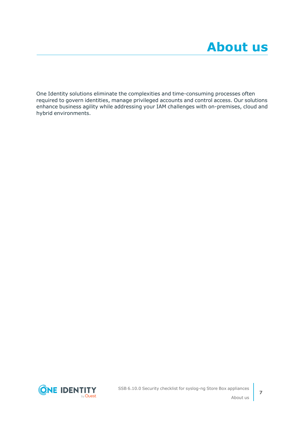<span id="page-6-0"></span>One Identity solutions eliminate the complexities and time-consuming processes often required to govern identities, manage privileged accounts and control access. Our solutions enhance business agility while addressing your IAM challenges with on-premises, cloud and hybrid environments.

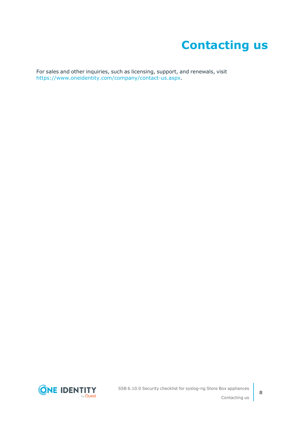# **Contacting us**

<span id="page-7-0"></span>For sales and other inquiries, such as licensing, support, and renewals, visit [https://www.oneidentity.com/company/contact-us.aspx.](https://www.oneidentity.com/company/contact-us.aspx)

**ONE IDENTITY** by **Quest**